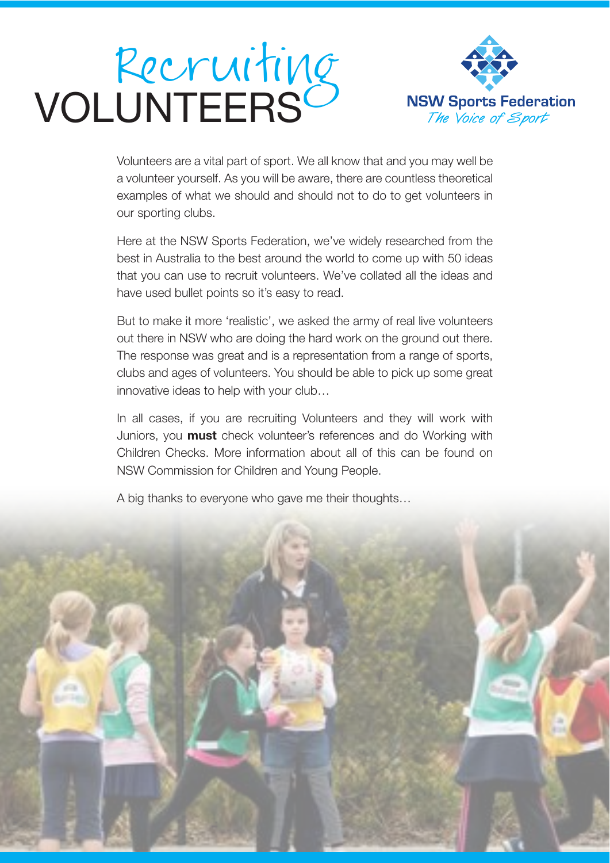# Recruiting<br>VOLUNTEERS



Volunteers are a vital part of sport. We all know that and you may well be a volunteer yourself. As you will be aware, there are countless theoretical examples of what we should and should not to do to get volunteers in our sporting clubs.

Here at the NSW Sports Federation, we've widely researched from the best in Australia to the best around the world to come up with 50 ideas that you can use to recruit volunteers. We've collated all the ideas and have used bullet points so it's easy to read.

But to make it more 'realistic', we asked the army of real live volunteers out there in NSW who are doing the hard work on the ground out there. The response was great and is a representation from a range of sports, clubs and ages of volunteers. You should be able to pick up some great innovative ideas to help with your club…

In all cases, if you are recruiting Volunteers and they will work with Juniors, you **must** check volunteer's references and do Working with Children Checks. More information about all of this can be found on NSW Commission for Children and Young People.

A big thanks to everyone who gave me their thoughts…

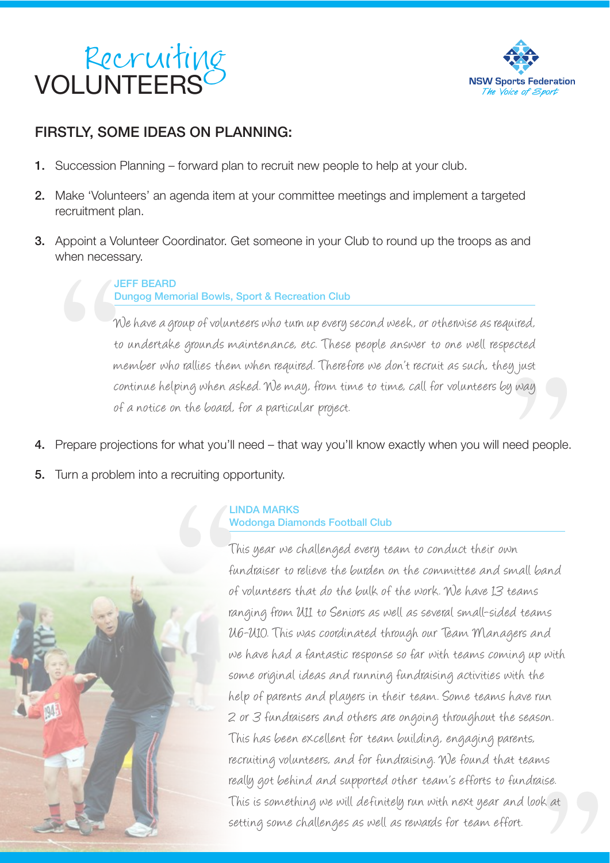



#### FIRSTLY, SOME IDEAS ON PLANNING:

- 1. Succession Planning forward plan to recruit new people to help at your club.
- 2. Make 'Volunteers' an agenda item at your committee meetings and implement a targeted recruitment plan.
- **3.** Appoint a Volunteer Coordinator. Get someone in your Club to round up the troops as and when necessary.

#### JEFF BEARD Dungog Memorial Bowls, Sport & Recreation Club

g<br>
yust<br>
way<br>
eed people.<br>
m We have a group of volunteers who turn up every second week, or otherwise as required, to undertake grounds maintenance, etc. These people answer to one well respected member who rallies them when required. Therefore we don't recruit as such, they just continue helping when asked. We may, from time to time, call for volunteers by way of a notice on the board, for a particular project.

- 4. Prepare projections for what you'll need that way you'll know exactly when you will need people. when neces<br>  $\frac{1}{\gamma}$ <br>  $\frac{1}{\gamma}$ <br>  $\frac{1}{\gamma}$ <br>  $\frac{1}{\gamma}$ <br>  $\frac{1}{\gamma}$ <br>  $\frac{1}{\gamma}$ <br>  $\frac{1}{\gamma}$ <br>  $\frac{1}{\gamma}$ <br>  $\frac{1}{\gamma}$ <br>  $\frac{1}{\gamma}$ <br>  $\frac{1}{\gamma}$ <br>  $\frac{1}{\gamma}$ <br>  $\frac{1}{\gamma}$ <br>  $\frac{1}{\gamma}$ <br>  $\frac{1}{\gamma}$ <br>  $\frac{1}{\gamma}$ <br>  $\frac{1}{\gamma}$ <br>  $\frac{1$
- 5. Turn a problem into a recruiting opportunity.



#### LINDA MARKS Wodonga Diamonds Football Club

 $i$ se.<br> $i$ s at This year we challenged every team to conduct their own fundraiser to relieve the burden on the committee and small band of volunteers that do the bulk of the work. We have 13 teams ranging from U11 to Seniors as well as several small-sided teams UG-UIO. This was coordinated through our Team Managers and we have had a fantastic response so far with teams coming up with some original ideas and running fundraising activities with the help of parents and players in their team. Some teams have run 2 or 3 fundraisers and others are ongoing throughout the season. This has been excellent for team building, engaging parents, recruiting volunteers, and for fundraising. We found that teams really got behind and supported other team's efforts to fundraise. This is something we will definitely run with next year and look at setting some challenges as well as rewards for team effort.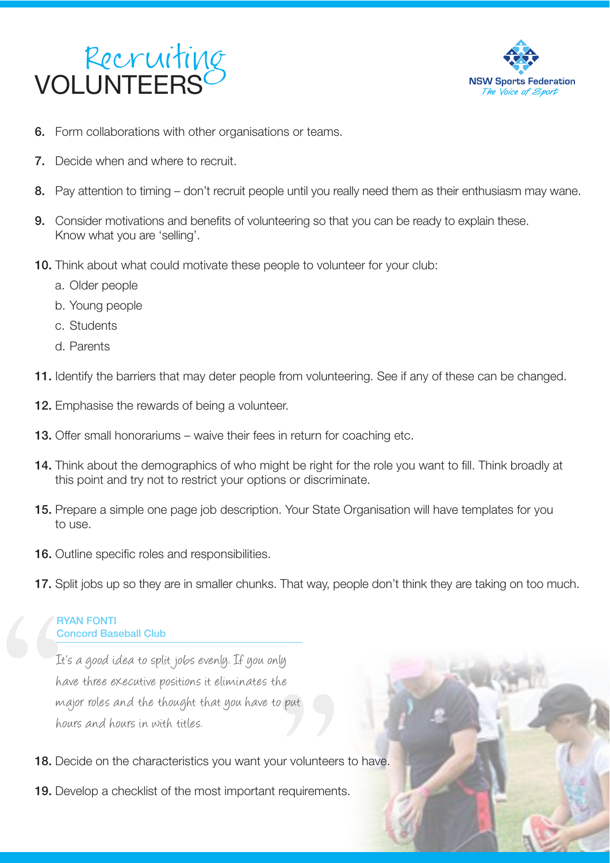



- **6.** Form collaborations with other organisations or teams.
- 7. Decide when and where to recruit.
- 8. Pay attention to timing don't recruit people until you really need them as their enthusiasm may wane.
- 9. Consider motivations and benefits of volunteering so that you can be ready to explain these. Know what you are 'selling'.
- 10. Think about what could motivate these people to volunteer for your club:
	- a. Older people
	- b. Young people
	- c. Students
	- d. Parents
- 11. Identify the barriers that may deter people from volunteering. See if any of these can be changed.
- 12. Emphasise the rewards of being a volunteer.
- 13. Offer small honorariums waive their fees in return for coaching etc.
- 14. Think about the demographics of who might be right for the role you want to fill. Think broadly at this point and try not to restrict your options or discriminate.
- 15. Prepare a simple one page job description. Your State Organisation will have templates for you to use.
- 16. Outline specific roles and responsibilities.
- 17. Split jobs up so they are in smaller chunks. That way, people don't think they are taking on too much.

#### RYAN FONTI Concord Baseball Club

" re<br>
Pieut<br>
ur volunteer<br>
requirement<br>
Trequirement It's a good idea to split jobs evenly. If you only have three executive positions it eliminates the major roles and the thought that you have to put hours and hours in with titles.

- 18. Decide on the characteristics you want your volunteers to have.
- 19. Develop a checklist of the most important requirements.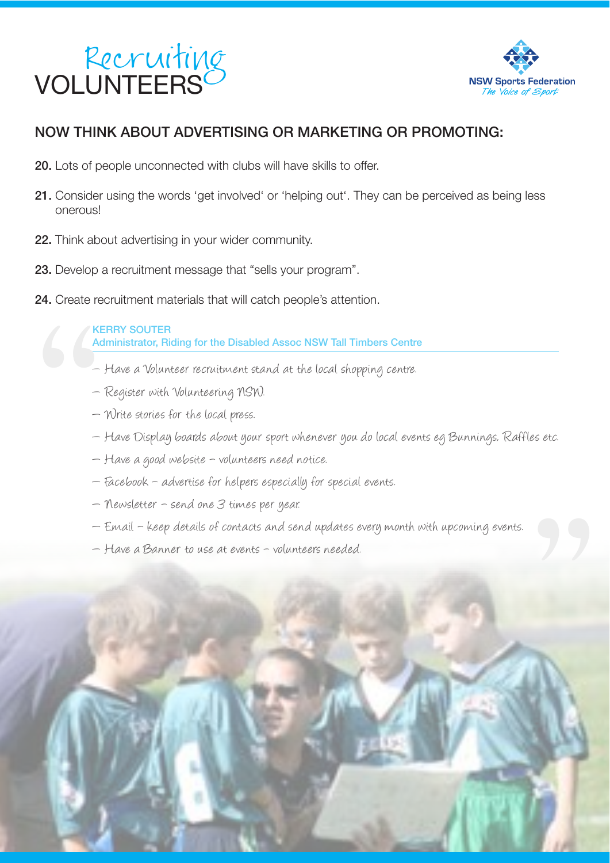



#### NOW THINK ABOUT ADVERTISING OR MARKETING OR PROMOTING:

- 20. Lots of people unconnected with clubs will have skills to offer.
- 21. Consider using the words 'get involved' or 'helping out'. They can be perceived as being less onerous!
- 22. Think about advertising in your wider community.
- 23. Develop a recruitment message that "sells your program".
- $\begin{array}{c}\n\text{24. Create r} \\
\hline\n\end{array}$ 24. Create recruitment materials that will catch people's attention.

KERRY SOUTER Administrator, Riding for the Disabled Assoc NSW Tall Timbers Centre

- $-$  Have a Volunteer recruitment stand at the local shopping centre.
- Register with Volunteering NSW.
- $-$  Write stories for the local press.
- $-$  Have Display boards about your sport whenever you do local events eg Bunnings, Raffles etc.
- Have a good website volunteers need notice.
- Facebook advertise for helpers especially for special events.
- $-$  Newsletter  $-$  send one  $3$  times per year.
- $-$  Email keep details of contacts and send updates every month with upcoming events.
- Have a Banner to use at events volunteers needed.

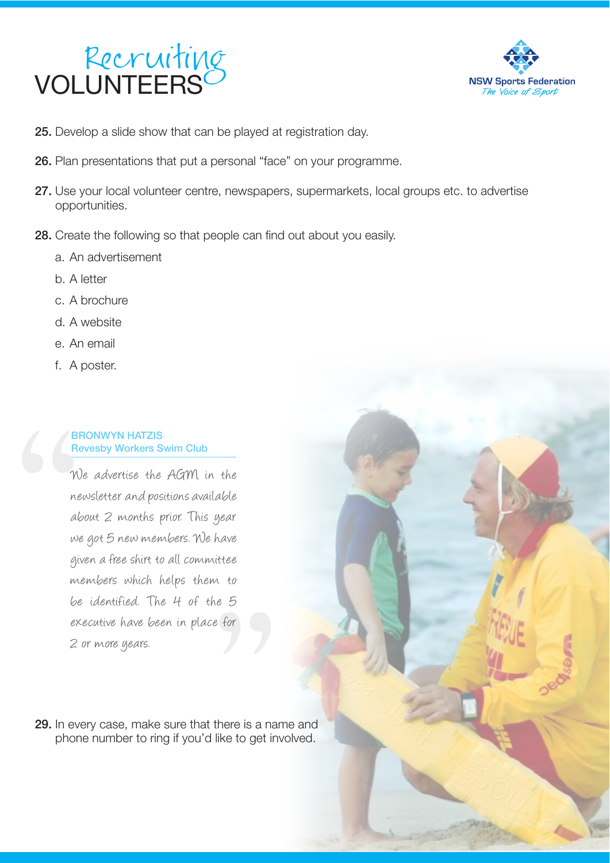



- 25. Develop a slide show that can be played at registration day.
- 26. Plan presentations that put a personal "face" on your programme.
- 27. Use your local volunteer centre, newspapers, supermarkets, local groups etc. to advertise opportunities.
- 28. Create the following so that people can find out about you easily.
	- a. An advertisement
	- b. A letter
	- c. A brochure
	- d. A website
	- e. An email
	- f. A poster.

#### BRONWYN HATZIS Revesby Workers Swim Club

" We advertise the AGM in the newsletter and positions available about 2 months prior. This year we got 5 new members. We have given a free shirt to all committee members which helps them to be identified. The 4 of the 5 executive have been in place for 2 or more years.

 $e^2$ <br> $e^2$ <br> $e^2$ <br> $e^2$ <br> $e^2$ <br> $e^2$ <br> $e^2$ <br> $e^2$ <br> $e^2$ <br> $e^2$ <br> $e^2$ <br><br> $f$ <br><br> $g$ <br><br><br><br><br><br><br><br><br><br><br><br> 29. In every case, make sure that there is a name and phone number to ring if you'd like to get involved.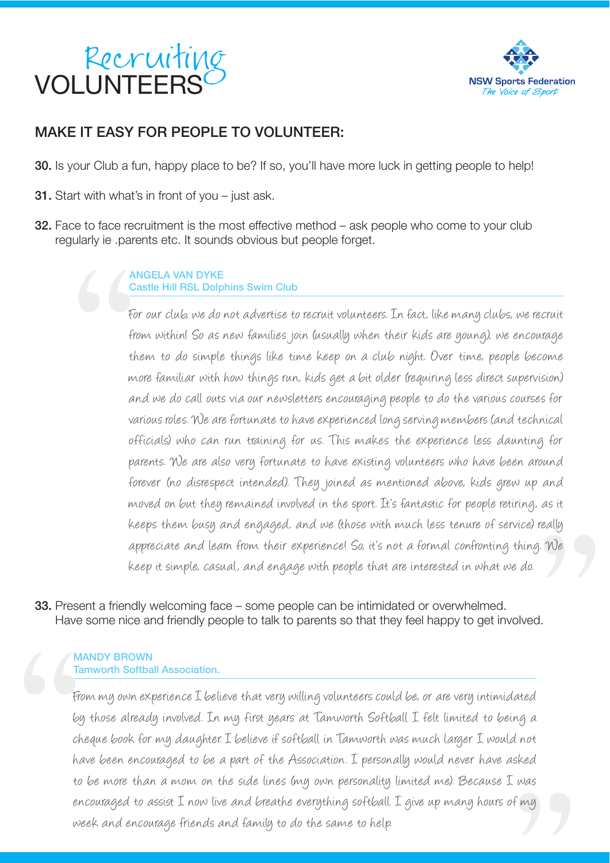### Recruiting<br>VOLUNTEERS



#### MAKE IT EASY FOR PEOPLE TO VOLUNTEER:

30. Is your Club a fun, happy place to be? If so, you'll have more luck in getting people to help!

- **31.** Start with what's in front of you  $-$  just ask.
- **32.** Face to face recruitment is the most effective method ask people who come to your club regularly ie .parents etc. It sounds obvious but people forget.

#### ANGELA VAN DYKE Castle Hill RSL Dolphins Swim Club

Contains to the contact of  $\theta$ <br>fit fit that as a set of  $\theta$ really<br>. We<br>. We For our club, we do not advertise to recruit volunteers. In fact, like many clubs, we recruit from within! So as new families join (usually when their kids are young), we encourage them to do simple things like time keep on a club night. Over time, people become more familiar with how things run, kids get a bit older (requiring less direct supervision) and we do call outs via our newsletters encouraging people to do the various courses for various roles. We are fortunate to have experienced long serving members (and technical officials) who can run training for us. This makes the experience less daunting for parents. We are also very fortunate to have existing volunteers who have been around forever (no disrespect intended). They joined as mentioned above, kids grew up and moved on but they remained involved in the sport. It's fantastic for people retiring, as it keeps them busy and engaged, and we (those with much less tenure of service) really appreciate and leam from their experience! So, it's not a formal confronting thing. We keep it simple, casual, and engage with people that are interested in what we do.

33. Present a friendly welcoming face – some people can be intimidated or overwhelmed. Have some nice and friendly people to talk to parents so that they feel happy to get involved.

#### MANDY BROWN Tamworth Softball Association.

" " The Contract of The Contract of Contract of Contract of Contract of Contract of Contract of Contract of Contract of Contract of Contract of Contract of Contract of Contract of Contract of Contract of Contract of Contra was<br>"<br>"<br>" From my own experience I believe that very willing volunteers could be, or are very intimidated by those already involved. In my first years at Tamworth Softball I felt limited to being a cheque book for my daughter. I believe if softball in Tamworth was much larger I would not have been encouraged to be a part of the Association. I personally would never have asked to be more than a mom on the side lines (my own personality limited me). Because I was encouraged to assist I now live and breathe everything softball. I give up many hours of my week and encourage friends and family to do the same to help.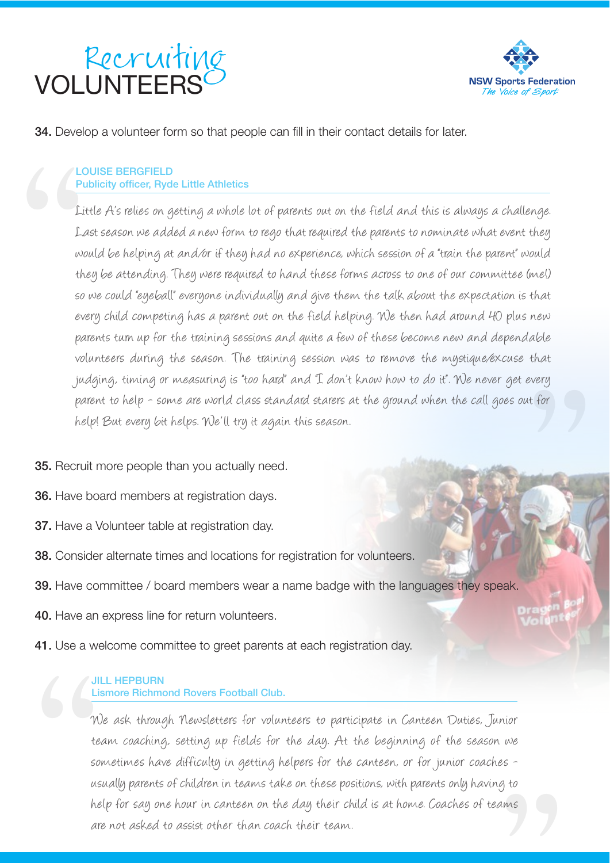



#### 34. Develop a volunteer form so that people can fill in their contact details for later.

#### LOUISE BERGFIELD Publicity officer, Ryde Little Athletics

 $\begin{array}{c}\n\begin{array}{ccc}\n\frac{1}{P} & \frac{1}{P} \\
\frac{1}{P} & \frac{1}{P} \\
\frac{1}{P} & \frac{1}{P} \\
\frac{1}{P} & \frac{1}{P} \\
\frac{1}{P} & \frac{1}{P} \\
\frac{1}{P} & \frac{1}{P} \\
\frac{1}{P} & \frac{1}{P} \\
\frac{1}{P} & \frac{1}{P} \\
\frac{1}{P} & \frac{1}{P} \\
\frac{1}{P} & \frac{1}{P} \\
\frac{1}{P} & \frac{1}{P} \\
\frac{1}{P} & \frac{1}{P} \\
\frac{1}{P} & \frac{1$ " Little A's relies on getting a whole lot of parents out on the field and this is always a challenge. Last season we added a new form to rego that required the parents to nominate what event they would be helping at and/or if they had no experience, which session of a "train the parent" would they be attending. They were required to hand these forms across to one of our committee (me!) so we could "eyeball" everyone individually and give them the talk about the expectation is that every child competing has a parent out on the field helping. We then had around 40 plus new parents turn up for the training sessions and quite a few of these become new and dependable volunteers during the season. The training session was to remove the mystique/excuse that judging, timing or measuring is "too hard" and "I don't know how to do it". We never get every parent to help - some are world class standard starers at the ground when the call goes out for help! But every bit helps. We'll try it again this season.

#### 35. Recruit more people than you actually need.

- 36. Have board members at registration days.
- 37. Have a Volunteer table at registration day.
- 38. Consider alternate times and locations for registration for volunteers.
- **39.** Have committee / board members wear a name badge with the languages they speak.
- 40. Have an express line for return volunteers.
- 41. Use a welcome committee to greet parents at each registration day.

#### JILL HEPBURN Lismore Richmond Rovers Football Club.

"  $\frac{3}{2}$  to  $\frac{1}{2}$ We ask through Newsletters for volunteers to participate in Canteen Duties, Junior team coaching, setting up fields for the day. At the beginning of the season we sometimes have difficulty in getting helpers for the canteen, or for junior coaches usually parents of children in teams take on these positions, with parents only having to help for say one hour in canteen on the day their child is at home. Coaches of teams are not asked to assist other than coach their team.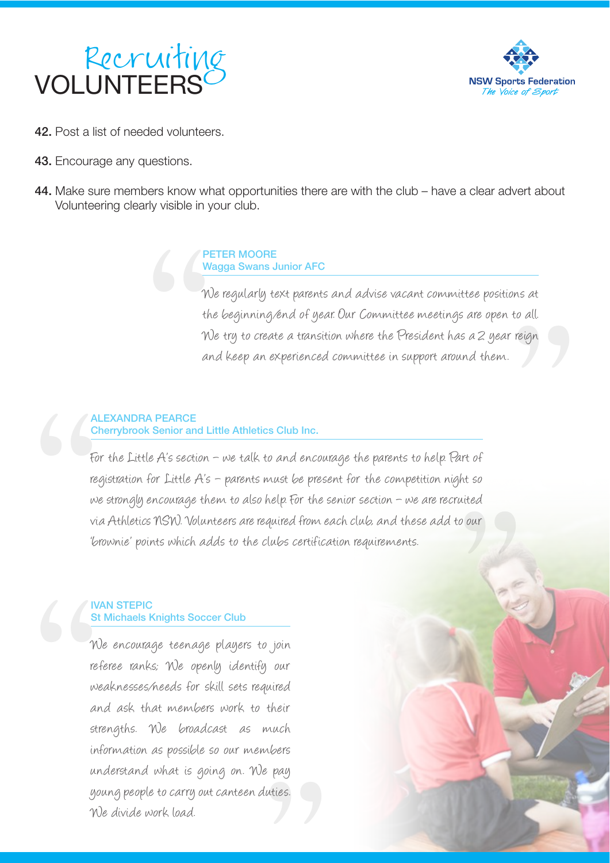



- 42. Post a list of needed volunteers.
- 43. Encourage any questions.
- 44. Make sure members know what opportunities there are with the club have a clear advert about Volunteering clearly visible in your club.

#### PETER MOORE Wagga Swans Junior AFC

to all.<br>reign We regularly text parents and advise vacant committee positions at the beginning/end of year. Our Committee meetings are open to all. We try to create a transition where the President has a 2 year reign and keep an experienced committee in support around them.

## $\frac{P}{\gamma}$ ALEXANDRA PEARCE Cherrybrook Senior and Little Athletics Club Inc.

A<br>
C<br>
F<br>
T<br>
F<br>
T<br>
V<br>
V<br>
V<br>
V<br>
V<br>
V<br>
V<br>
V<br>
V<br>
V<br> nited<br>pour<br>Allen For the Little A's section - we talk to and encourage the parents to help. Part of registration for Little  $A's$  – parents must be present for the competition night so we strongly encourage them to also help. For the senior section  $\neg$  we are recruited via Athletics NSW. Volunteers are required from each club, and these add to our 'brownie' points which adds to the clubs certification requirements.

#### IVAN STEPIC St Michaels Knights Soccer Club

" . pay<br>, pay<br>uties. We encourage teenage players to join referee ranks; We openly identify our weaknesses/needs for skill sets required and ask that members work to their strengths. We broadcast as much information as possible so our members understand what is going on. We pay young people to carry out canteen duties. We divide work load.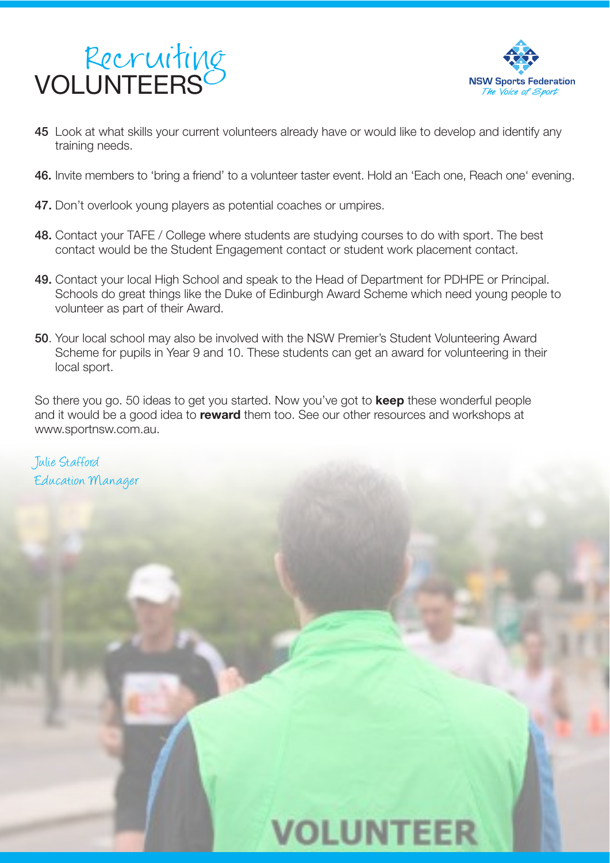



- 45 Look at what skills your current volunteers already have or would like to develop and identify any training needs.
- 46. Invite members to 'bring a friend' to a volunteer taster event. Hold an 'Each one, Reach one' evening.
- 47. Don't overlook young players as potential coaches or umpires.
- 48. Contact your TAFE / College where students are studying courses to do with sport. The best contact would be the Student Engagement contact or student work placement contact.
- 49. Contact your local High School and speak to the Head of Department for PDHPE or Principal. Schools do great things like the Duke of Edinburgh Award Scheme which need young people to volunteer as part of their Award.
- 50. Your local school may also be involved with the NSW Premier's Student Volunteering Award Scheme for pupils in Year 9 and 10. These students can get an award for volunteering in their local sport.

So there you go. 50 ideas to get you started. Now you've got to **keep** these wonderful people and it would be a good idea to **reward** them too. See our other resources and workshops at www.sportnsw.com.au.

Tulie Stafford Education Manager

### **VOLUNTEER**